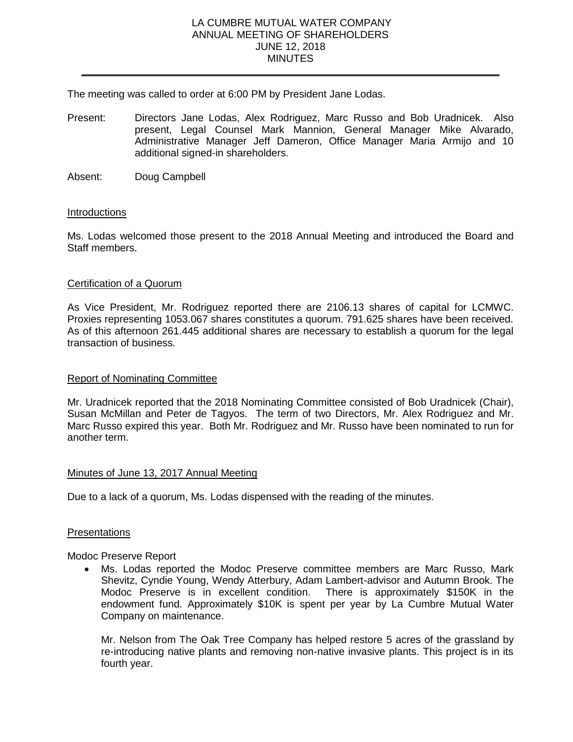### LA CUMBRE MUTUAL WATER COMPANY ANNUAL MEETING OF SHAREHOLDERS JUNE 12, 2018 **MINUTES**

\_\_\_\_\_\_\_\_\_\_\_\_\_\_\_\_\_\_\_\_\_\_\_\_\_\_\_\_\_\_\_\_\_\_\_\_\_\_\_\_\_\_\_\_\_\_\_\_\_\_\_\_\_\_\_\_\_\_\_\_\_\_\_\_\_\_\_\_\_\_\_\_\_

The meeting was called to order at 6:00 PM by President Jane Lodas.

- Present: Directors Jane Lodas, Alex Rodriguez, Marc Russo and Bob Uradnicek. Also present, Legal Counsel Mark Mannion, General Manager Mike Alvarado, Administrative Manager Jeff Dameron, Office Manager Maria Armijo and 10 additional signed-in shareholders.
- Absent: Doug Campbell

## **Introductions**

Ms. Lodas welcomed those present to the 2018 Annual Meeting and introduced the Board and Staff members.

## Certification of a Quorum

As Vice President, Mr. Rodriguez reported there are 2106.13 shares of capital for LCMWC. Proxies representing 1053.067 shares constitutes a quorum. 791.625 shares have been received. As of this afternoon 261.445 additional shares are necessary to establish a quorum for the legal transaction of business.

### Report of Nominating Committee

Mr. Uradnicek reported that the 2018 Nominating Committee consisted of Bob Uradnicek (Chair), Susan McMillan and Peter de Tagyos. The term of two Directors, Mr. Alex Rodriguez and Mr. Marc Russo expired this year. Both Mr. Rodriguez and Mr. Russo have been nominated to run for another term.

# Minutes of June 13, 2017 Annual Meeting

Due to a lack of a quorum, Ms. Lodas dispensed with the reading of the minutes.

### **Presentations**

Modoc Preserve Report

 Ms. Lodas reported the Modoc Preserve committee members are Marc Russo, Mark Shevitz, Cyndie Young, Wendy Atterbury, Adam Lambert-advisor and Autumn Brook. The Modoc Preserve is in excellent condition. There is approximately \$150K in the endowment fund. Approximately \$10K is spent per year by La Cumbre Mutual Water Company on maintenance.

Mr. Nelson from The Oak Tree Company has helped restore 5 acres of the grassland by re-introducing native plants and removing non-native invasive plants. This project is in its fourth year.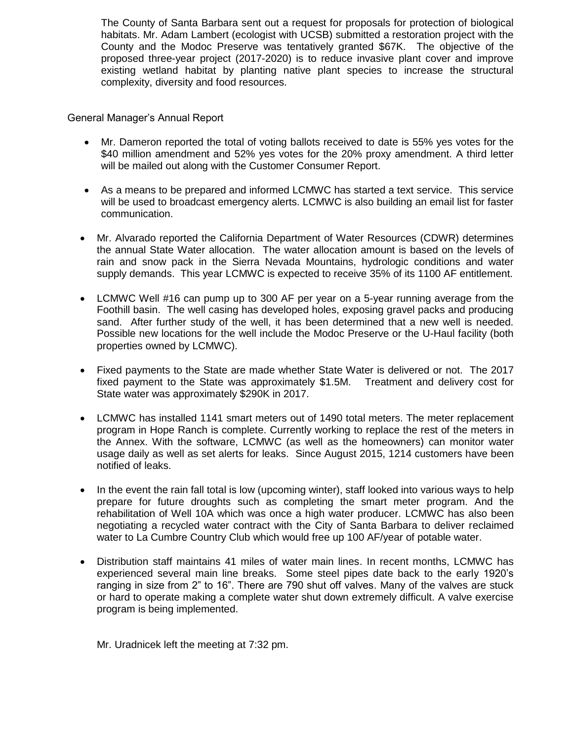The County of Santa Barbara sent out a request for proposals for protection of biological habitats. Mr. Adam Lambert (ecologist with UCSB) submitted a restoration project with the County and the Modoc Preserve was tentatively granted \$67K. The objective of the proposed three-year project (2017-2020) is to reduce invasive plant cover and improve existing wetland habitat by planting native plant species to increase the structural complexity, diversity and food resources.

General Manager's Annual Report

- Mr. Dameron reported the total of voting ballots received to date is 55% yes votes for the \$40 million amendment and 52% yes votes for the 20% proxy amendment. A third letter will be mailed out along with the Customer Consumer Report.
- As a means to be prepared and informed LCMWC has started a text service. This service will be used to broadcast emergency alerts. LCMWC is also building an email list for faster communication.
- Mr. Alvarado reported the California Department of Water Resources (CDWR) determines the annual State Water allocation. The water allocation amount is based on the levels of rain and snow pack in the Sierra Nevada Mountains, hydrologic conditions and water supply demands. This year LCMWC is expected to receive 35% of its 1100 AF entitlement.
- LCMWC Well #16 can pump up to 300 AF per year on a 5-year running average from the Foothill basin. The well casing has developed holes, exposing gravel packs and producing sand. After further study of the well, it has been determined that a new well is needed. Possible new locations for the well include the Modoc Preserve or the U-Haul facility (both properties owned by LCMWC).
- Fixed payments to the State are made whether State Water is delivered or not. The 2017 fixed payment to the State was approximately \$1.5M. Treatment and delivery cost for State water was approximately \$290K in 2017.
- LCMWC has installed 1141 smart meters out of 1490 total meters. The meter replacement program in Hope Ranch is complete. Currently working to replace the rest of the meters in the Annex. With the software, LCMWC (as well as the homeowners) can monitor water usage daily as well as set alerts for leaks. Since August 2015, 1214 customers have been notified of leaks.
- In the event the rain fall total is low (upcoming winter), staff looked into various ways to help prepare for future droughts such as completing the smart meter program. And the rehabilitation of Well 10A which was once a high water producer. LCMWC has also been negotiating a recycled water contract with the City of Santa Barbara to deliver reclaimed water to La Cumbre Country Club which would free up 100 AF/year of potable water.
- Distribution staff maintains 41 miles of water main lines. In recent months, LCMWC has experienced several main line breaks. Some steel pipes date back to the early 1920's ranging in size from 2" to 16". There are 790 shut off valves. Many of the valves are stuck or hard to operate making a complete water shut down extremely difficult. A valve exercise program is being implemented.

Mr. Uradnicek left the meeting at 7:32 pm.